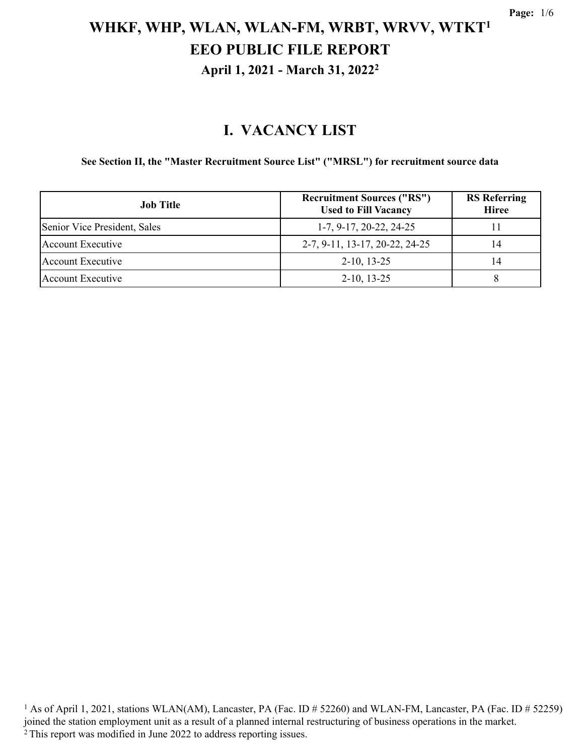#### **I. VACANCY LIST**

#### **See Section II, the "Master Recruitment Source List" ("MRSL") for recruitment source data**

| <b>Job Title</b>             | <b>Recruitment Sources ("RS")</b><br><b>Used to Fill Vacancy</b> | <b>RS</b> Referring<br><b>Hiree</b> |
|------------------------------|------------------------------------------------------------------|-------------------------------------|
| Senior Vice President, Sales | $1-7, 9-17, 20-22, 24-25$                                        |                                     |
| Account Executive            | 2-7, 9-11, 13-17, 20-22, 24-25                                   | 14                                  |
| Account Executive            | $2-10, 13-25$                                                    | 14                                  |
| Account Executive            | $2-10, 13-25$                                                    |                                     |

<sup>1</sup> As of April 1, 2021, stations WLAN(AM), Lancaster, PA (Fac. ID # 52260) and WLAN-FM, Lancaster, PA (Fac. ID # 52259) joined the station employment unit as a result of a planned internal restructuring of business operations in the market. 2 This report was modified in June 2022 to address reporting issues.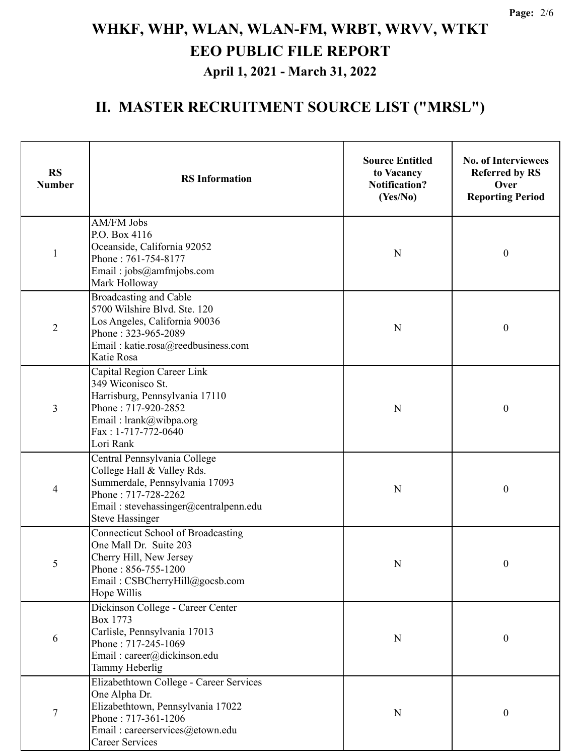## **II. MASTER RECRUITMENT SOURCE LIST ("MRSL")**

| <b>RS</b><br><b>Number</b> | <b>RS</b> Information                                                                                                                                                                  | <b>Source Entitled</b><br>to Vacancy<br><b>Notification?</b><br>(Yes/No) | <b>No. of Interviewees</b><br><b>Referred by RS</b><br>Over<br><b>Reporting Period</b> |
|----------------------------|----------------------------------------------------------------------------------------------------------------------------------------------------------------------------------------|--------------------------------------------------------------------------|----------------------------------------------------------------------------------------|
| $\mathbf{1}$               | AM/FM Jobs<br>P.O. Box 4116<br>Oceanside, California 92052<br>Phone: 761-754-8177<br>Email: jobs@amfmjobs.com<br>Mark Holloway                                                         | $\mathbf N$                                                              | $\boldsymbol{0}$                                                                       |
| $\overline{2}$             | Broadcasting and Cable<br>5700 Wilshire Blvd. Ste. 120<br>Los Angeles, California 90036<br>Phone: 323-965-2089<br>Email: katie.rosa@reedbusiness.com<br>Katie Rosa                     | $\mathbf N$                                                              | $\boldsymbol{0}$                                                                       |
| 3                          | Capital Region Career Link<br>349 Wiconisco St.<br>Harrisburg, Pennsylvania 17110<br>Phone: 717-920-2852<br>Email: lrank@wibpa.org<br>Fax: 1-717-772-0640<br>Lori Rank                 | $\mathbf N$                                                              | $\boldsymbol{0}$                                                                       |
| 4                          | Central Pennsylvania College<br>College Hall & Valley Rds.<br>Summerdale, Pennsylvania 17093<br>Phone: 717-728-2262<br>Email: stevehassinger@centralpenn.edu<br><b>Steve Hassinger</b> | N                                                                        | $\boldsymbol{0}$                                                                       |
| 5                          | Connecticut School of Broadcasting<br>One Mall Dr. Suite 203<br>Cherry Hill, New Jersey<br>Phone: 856-755-1200<br>Email: CSBCherryHill@gocsb.com<br>Hope Willis                        | N                                                                        | $\boldsymbol{0}$                                                                       |
| 6                          | Dickinson College - Career Center<br>Box 1773<br>Carlisle, Pennsylvania 17013<br>Phone: 717-245-1069<br>Email: career@dickinson.edu<br>Tammy Heberlig                                  | $\mathbf N$                                                              | $\boldsymbol{0}$                                                                       |
| $\boldsymbol{7}$           | Elizabethtown College - Career Services<br>One Alpha Dr.<br>Elizabethtown, Pennsylvania 17022<br>Phone: 717-361-1206<br>Email: careerservices@etown.edu<br><b>Career Services</b>      | N                                                                        | $\boldsymbol{0}$                                                                       |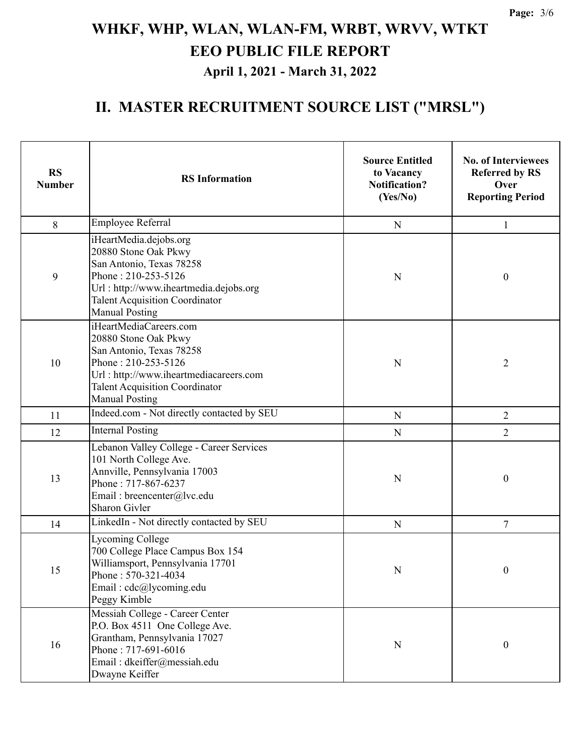## **II. MASTER RECRUITMENT SOURCE LIST ("MRSL")**

| <b>RS</b><br><b>Number</b> | <b>RS</b> Information                                                                                                                                                                                         | <b>Source Entitled</b><br>to Vacancy<br><b>Notification?</b><br>(Yes/No) | <b>No. of Interviewees</b><br><b>Referred by RS</b><br>Over<br><b>Reporting Period</b> |
|----------------------------|---------------------------------------------------------------------------------------------------------------------------------------------------------------------------------------------------------------|--------------------------------------------------------------------------|----------------------------------------------------------------------------------------|
| 8                          | Employee Referral                                                                                                                                                                                             | N                                                                        | 1                                                                                      |
| 9                          | iHeartMedia.dejobs.org<br>20880 Stone Oak Pkwy<br>San Antonio, Texas 78258<br>Phone: 210-253-5126<br>Url: http://www.iheartmedia.dejobs.org<br><b>Talent Acquisition Coordinator</b><br><b>Manual Posting</b> | N                                                                        | $\boldsymbol{0}$                                                                       |
| 10                         | iHeartMediaCareers.com<br>20880 Stone Oak Pkwy<br>San Antonio, Texas 78258<br>Phone: 210-253-5126<br>Url: http://www.iheartmediacareers.com<br><b>Talent Acquisition Coordinator</b><br><b>Manual Posting</b> | N                                                                        | $\overline{2}$                                                                         |
| 11                         | Indeed.com - Not directly contacted by SEU                                                                                                                                                                    | ${\bf N}$                                                                | $\overline{2}$                                                                         |
| 12                         | <b>Internal Posting</b>                                                                                                                                                                                       | $\mathbf N$                                                              | $\overline{2}$                                                                         |
| 13                         | Lebanon Valley College - Career Services<br>101 North College Ave.<br>Annville, Pennsylvania 17003<br>Phone: 717-867-6237<br>Email: breencenter@lvc.edu<br><b>Sharon Givler</b>                               | N                                                                        | $\boldsymbol{0}$                                                                       |
| 14                         | LinkedIn - Not directly contacted by SEU                                                                                                                                                                      | ${\bf N}$                                                                | $\overline{7}$                                                                         |
| 15                         | <b>Lycoming College</b><br>700 College Place Campus Box 154<br>Williamsport, Pennsylvania 17701<br>Phone: 570-321-4034<br>Email: cdc@lycoming.edu<br>Peggy Kimble                                             | $\mathbf N$                                                              | $\boldsymbol{0}$                                                                       |
| 16                         | Messiah College - Career Center<br>P.O. Box 4511 One College Ave.<br>Grantham, Pennsylvania 17027<br>Phone: 717-691-6016<br>Email: dkeiffer@messiah.edu<br>Dwayne Keiffer                                     | ${\bf N}$                                                                | $\boldsymbol{0}$                                                                       |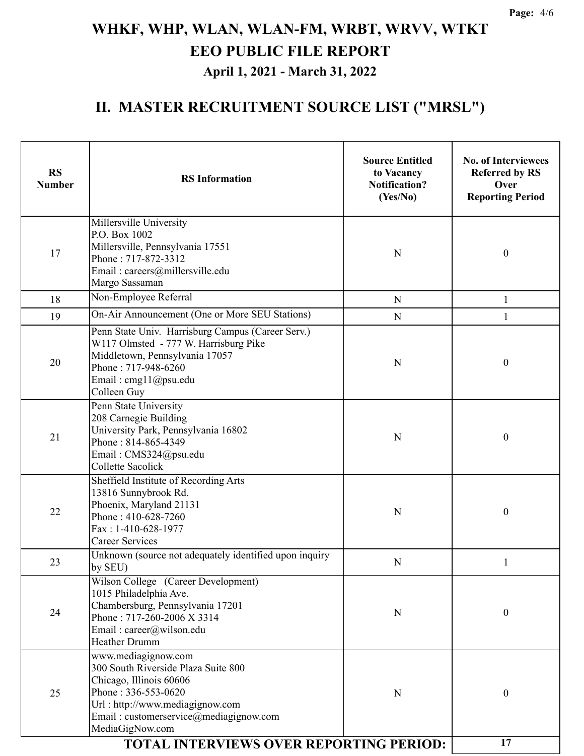## **II. MASTER RECRUITMENT SOURCE LIST ("MRSL")**

| <b>RS</b><br><b>Number</b> | <b>RS</b> Information                                                                                                                                                                                        | <b>Source Entitled</b><br>to Vacancy<br><b>Notification?</b><br>(Yes/No) | <b>No. of Interviewees</b><br><b>Referred by RS</b><br>Over<br><b>Reporting Period</b> |
|----------------------------|--------------------------------------------------------------------------------------------------------------------------------------------------------------------------------------------------------------|--------------------------------------------------------------------------|----------------------------------------------------------------------------------------|
| 17                         | Millersville University<br>P.O. Box 1002<br>Millersville, Pennsylvania 17551<br>Phone: 717-872-3312<br>Email: careers@millersville.edu<br>Margo Sassaman                                                     | ${\bf N}$                                                                | $\boldsymbol{0}$                                                                       |
| 18                         | Non-Employee Referral                                                                                                                                                                                        | $\mathbf{1}$                                                             |                                                                                        |
| 19                         | On-Air Announcement (One or More SEU Stations)                                                                                                                                                               | $\mathbf N$                                                              |                                                                                        |
| 20                         | Penn State Univ. Harrisburg Campus (Career Serv.)<br>W117 Olmsted - 777 W. Harrisburg Pike<br>Middletown, Pennsylvania 17057<br>Phone: 717-948-6260<br>Email: cmg11@psu.edu<br>Colleen Guy                   | ${\bf N}$                                                                | $\boldsymbol{0}$                                                                       |
| 21                         | Penn State University<br>208 Carnegie Building<br>University Park, Pennsylvania 16802<br>Phone: 814-865-4349<br>Email: CMS324@psu.edu<br>Collette Sacolick                                                   | $\mathbf N$                                                              | $\boldsymbol{0}$                                                                       |
| 22                         | Sheffield Institute of Recording Arts<br>13816 Sunnybrook Rd.<br>Phoenix, Maryland 21131<br>Phone: 410-628-7260<br>Fax: 1-410-628-1977<br><b>Career Services</b>                                             | $\mathbf N$                                                              | $\boldsymbol{0}$                                                                       |
| 23                         | Unknown (source not adequately identified upon inquiry<br>${\bf N}$<br>by SEU)                                                                                                                               |                                                                          | 1                                                                                      |
| 24                         | Wilson College (Career Development)<br>1015 Philadelphia Ave.<br>Chambersburg, Pennsylvania 17201<br>Phone: 717-260-2006 X 3314<br>Email: career@wilson.edu<br><b>Heather Drumm</b>                          | N                                                                        | $\mathbf{0}$                                                                           |
| 25                         | www.mediagignow.com<br>300 South Riverside Plaza Suite 800<br>Chicago, Illinois 60606<br>Phone: 336-553-0620<br>Url: http://www.mediagignow.com<br>Email: customerservice@mediagignow.com<br>MediaGigNow.com | N                                                                        | $\boldsymbol{0}$                                                                       |
|                            | 17                                                                                                                                                                                                           |                                                                          |                                                                                        |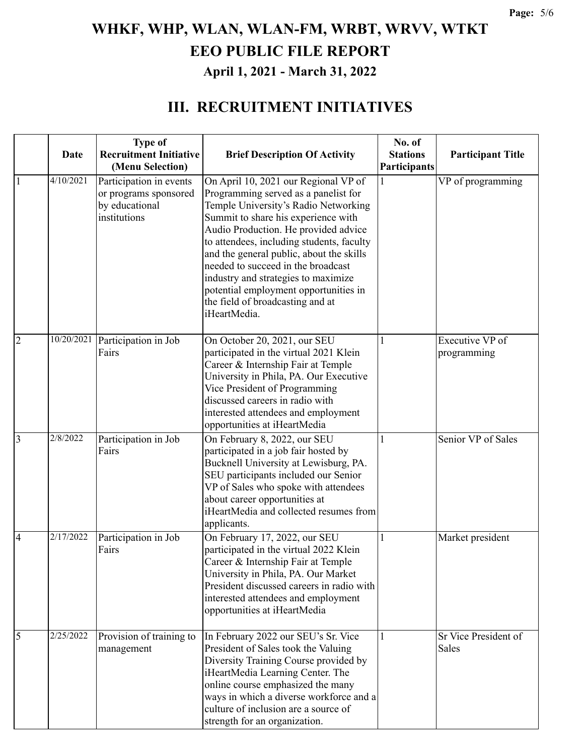#### **III. RECRUITMENT INITIATIVES**

|                |             | <b>Type of</b>                                                                     |                                                                                                                                                                                                                                                                                                                                                                                                                                                                        | No. of          |                                |
|----------------|-------------|------------------------------------------------------------------------------------|------------------------------------------------------------------------------------------------------------------------------------------------------------------------------------------------------------------------------------------------------------------------------------------------------------------------------------------------------------------------------------------------------------------------------------------------------------------------|-----------------|--------------------------------|
|                | <b>Date</b> | <b>Recruitment Initiative</b>                                                      | <b>Brief Description Of Activity</b>                                                                                                                                                                                                                                                                                                                                                                                                                                   | <b>Stations</b> | <b>Participant Title</b>       |
|                |             | (Menu Selection)                                                                   |                                                                                                                                                                                                                                                                                                                                                                                                                                                                        | Participants    |                                |
| $\mathbf{1}$   | 4/10/2021   | Participation in events<br>or programs sponsored<br>by educational<br>institutions | On April 10, 2021 our Regional VP of<br>Programming served as a panelist for<br>Temple University's Radio Networking<br>Summit to share his experience with<br>Audio Production. He provided advice<br>to attendees, including students, faculty<br>and the general public, about the skills<br>needed to succeed in the broadcast<br>industry and strategies to maximize<br>potential employment opportunities in<br>the field of broadcasting and at<br>iHeartMedia. |                 | VP of programming              |
|                |             |                                                                                    |                                                                                                                                                                                                                                                                                                                                                                                                                                                                        |                 |                                |
| $\overline{2}$ | 10/20/2021  | Participation in Job<br>Fairs                                                      | On October 20, 2021, our SEU<br>participated in the virtual 2021 Klein<br>Career & Internship Fair at Temple<br>University in Phila, PA. Our Executive<br>Vice President of Programming<br>discussed careers in radio with<br>interested attendees and employment<br>opportunities at iHeartMedia                                                                                                                                                                      |                 | Executive VP of<br>programming |
| $\overline{3}$ | 2/8/2022    | Participation in Job<br>Fairs                                                      | On February 8, 2022, our SEU<br>participated in a job fair hosted by<br>Bucknell University at Lewisburg, PA.<br>SEU participants included our Senior<br>VP of Sales who spoke with attendees<br>about career opportunities at<br>iHeartMedia and collected resumes from<br>applicants.                                                                                                                                                                                |                 | Senior VP of Sales             |
| $\overline{4}$ | 2/17/2022   | Participation in Job<br>Fairs                                                      | On February 17, 2022, our SEU<br>participated in the virtual 2022 Klein<br>Career & Internship Fair at Temple<br>University in Phila, PA. Our Market<br>President discussed careers in radio with<br>interested attendees and employment<br>opportunities at iHeartMedia                                                                                                                                                                                               |                 | Market president               |
| 5              | 2/25/2022   | Provision of training to<br>management                                             | In February 2022 our SEU's Sr. Vice<br>President of Sales took the Valuing<br>Diversity Training Course provided by<br>iHeartMedia Learning Center. The<br>online course emphasized the many<br>ways in which a diverse workforce and a<br>culture of inclusion are a source of<br>strength for an organization.                                                                                                                                                       |                 | Sr Vice President of<br>Sales  |